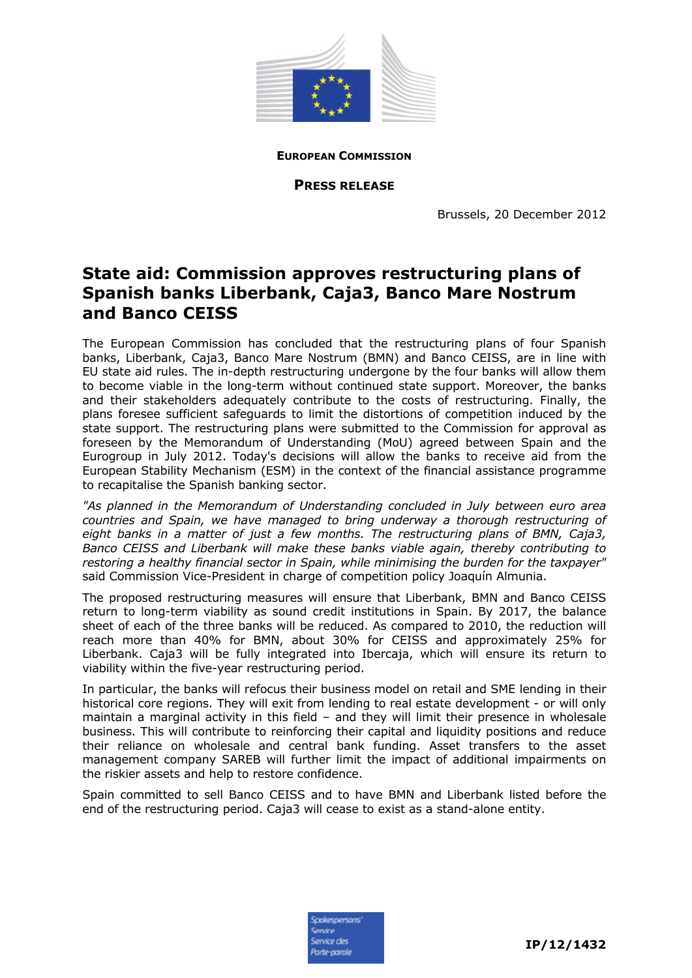

**EUROPEAN COMMISSION**

**PRESS RELEASE**

Brussels, 20 December 2012

# **State aid: Commission approves restructuring plans of Spanish banks Liberbank, Caja3, Banco Mare Nostrum and Banco CEISS**

The European Commission has concluded that the restructuring plans of four Spanish banks, Liberbank, Caja3, Banco Mare Nostrum (BMN) and Banco CEISS, are in line with EU state aid rules. The in-depth restructuring undergone by the four banks will allow them to become viable in the long-term without continued state support. Moreover, the banks and their stakeholders adequately contribute to the costs of restructuring. Finally, the plans foresee sufficient safeguards to limit the distortions of competition induced by the state support. The restructuring plans were submitted to the Commission for approval as foreseen by the Memorandum of Understanding (MoU) agreed between Spain and the Eurogroup in July 2012. Today's decisions will allow the banks to receive aid from the European Stability Mechanism (ESM) in the context of the financial assistance programme to recapitalise the Spanish banking sector.

*"As planned in the Memorandum of Understanding concluded in July between euro area countries and Spain, we have managed to bring underway a thorough restructuring of eight banks in a matter of just a few months. The restructuring plans of BMN, Caja3, Banco CEISS and Liberbank will make these banks viable again, thereby contributing to restoring a healthy financial sector in Spain, while minimising the burden for the taxpayer"*  said Commission Vice-President in charge of competition policy Joaquín Almunia.

The proposed restructuring measures will ensure that Liberbank, BMN and Banco CEISS return to long-term viability as sound credit institutions in Spain. By 2017, the balance sheet of each of the three banks will be reduced. As compared to 2010, the reduction will reach more than 40% for BMN, about 30% for CEISS and approximately 25% for Liberbank. Caja3 will be fully integrated into Ibercaja, which will ensure its return to viability within the five-year restructuring period.

In particular, the banks will refocus their business model on retail and SME lending in their historical core regions. They will exit from lending to real estate development - or will only maintain a marginal activity in this field – and they will limit their presence in wholesale business. This will contribute to reinforcing their capital and liquidity positions and reduce their reliance on wholesale and central bank funding. Asset transfers to the asset management company SAREB will further limit the impact of additional impairments on the riskier assets and help to restore confidence.

Spain committed to sell Banco CEISS and to have BMN and Liberbank listed before the end of the restructuring period. Caja3 will cease to exist as a stand-alone entity.

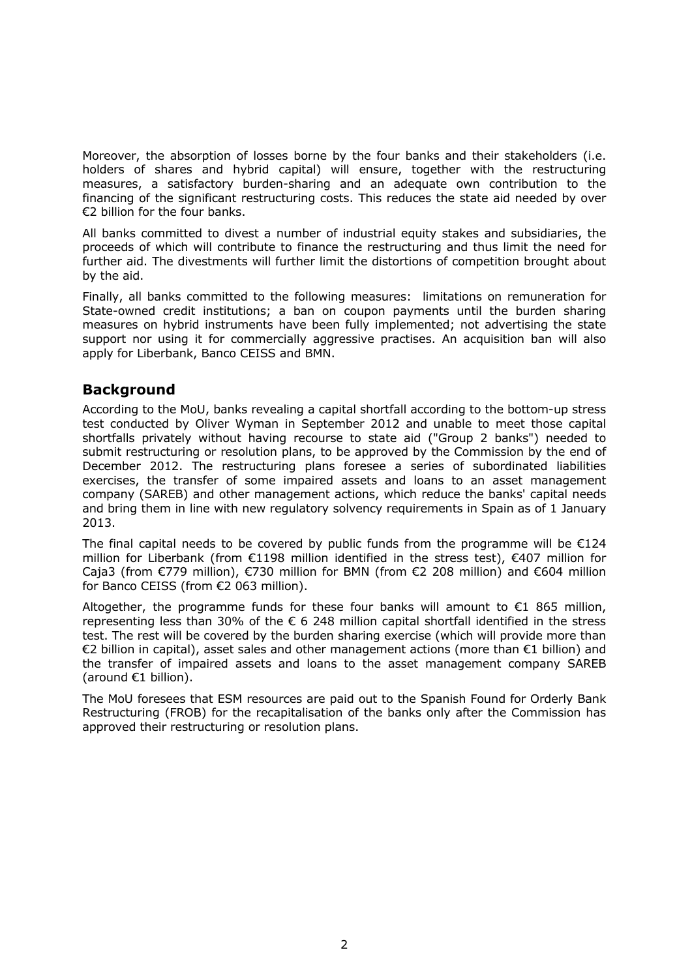Moreover, the absorption of losses borne by the four banks and their stakeholders (i.e. holders of shares and hybrid capital) will ensure, together with the restructuring measures, a satisfactory burden-sharing and an adequate own contribution to the financing of the significant restructuring costs. This reduces the state aid needed by over €2 billion for the four banks.

All banks committed to divest a number of industrial equity stakes and subsidiaries, the proceeds of which will contribute to finance the restructuring and thus limit the need for further aid. The divestments will further limit the distortions of competition brought about by the aid.

Finally, all banks committed to the following measures: limitations on remuneration for State-owned credit institutions; a ban on coupon payments until the burden sharing measures on hybrid instruments have been fully implemented; not advertising the state support nor using it for commercially aggressive practises. An acquisition ban will also apply for Liberbank, Banco CEISS and BMN.

# **Background**

According to the MoU, banks revealing a capital shortfall according to the bottom-up stress test conducted by Oliver Wyman in September 2012 and unable to meet those capital shortfalls privately without having recourse to state aid ("Group 2 banks") needed to submit restructuring or resolution plans, to be approved by the Commission by the end of December 2012. The restructuring plans foresee a series of subordinated liabilities exercises, the transfer of some impaired assets and loans to an asset management company (SAREB) and other management actions, which reduce the banks' capital needs and bring them in line with new regulatory solvency requirements in Spain as of 1 January 2013.

The final capital needs to be covered by public funds from the programme will be  $E124$ million for Liberbank (from €1198 million identified in the stress test), €407 million for Caja3 (from €779 million), €730 million for BMN (from €2 208 million) and €604 million for Banco CEISS (from €2 063 million).

Altogether, the programme funds for these four banks will amount to  $€1$  865 million, representing less than 30% of the  $\epsilon$  6 248 million capital shortfall identified in the stress test. The rest will be covered by the burden sharing exercise (which will provide more than €2 billion in capital), asset sales and other management actions (more than €1 billion) and the transfer of impaired assets and loans to the asset management company SAREB (around €1 billion).

The MoU foresees that ESM resources are paid out to the Spanish Found for Orderly Bank Restructuring (FROB) for the recapitalisation of the banks only after the Commission has approved their restructuring or resolution plans.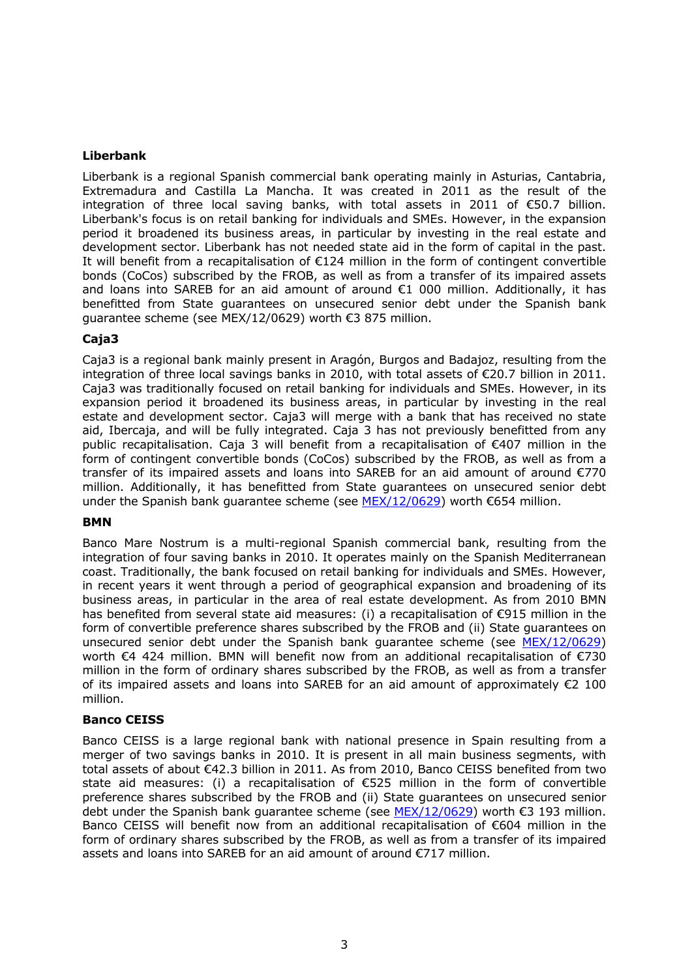## **Liberbank**

Liberbank is a regional Spanish commercial bank operating mainly in Asturias, Cantabria, Extremadura and Castilla La Mancha. It was created in 2011 as the result of the integration of three local saving banks, with total assets in 2011 of €50.7 billion. Liberbank's focus is on retail banking for individuals and SMEs. However, in the expansion period it broadened its business areas, in particular by investing in the real estate and development sector. Liberbank has not needed state aid in the form of capital in the past. It will benefit from a recapitalisation of €124 million in the form of contingent convertible bonds (CoCos) subscribed by the FROB, as well as from a transfer of its impaired assets and loans into SAREB for an aid amount of around  $\epsilon$ 1 000 million. Additionally, it has benefitted from State guarantees on unsecured senior debt under the Spanish bank guarantee scheme (see MEX/12/0629) worth €3 875 million.

## **Caja3**

Caja3 is a regional bank mainly present in Aragón, Burgos and Badajoz, resulting from the integration of three local savings banks in 2010, with total assets of €20.7 billion in 2011. Caja3 was traditionally focused on retail banking for individuals and SMEs. However, in its expansion period it broadened its business areas, in particular by investing in the real estate and development sector. Caja3 will merge with a bank that has received no state aid, Ibercaja, and will be fully integrated. Caja 3 has not previously benefitted from any public recapitalisation. Caja 3 will benefit from a recapitalisation of €407 million in the form of contingent convertible bonds (CoCos) subscribed by the FROB, as well as from a transfer of its impaired assets and loans into SAREB for an aid amount of around €770 million. Additionally, it has benefitted from State guarantees on unsecured senior debt under the Spanish bank guarantee scheme (see [MEX/12/0629\)](http://europa.eu/rapid/press-release_MEX-12-0629_en.htm) worth €654 million.

#### **BMN**

Banco Mare Nostrum is a multi-regional Spanish commercial bank, resulting from the integration of four saving banks in 2010. It operates mainly on the Spanish Mediterranean coast. Traditionally, the bank focused on retail banking for individuals and SMEs. However, in recent years it went through a period of geographical expansion and broadening of its business areas, in particular in the area of real estate development. As from 2010 BMN has benefited from several state aid measures: (i) a recapitalisation of  $\epsilon$ 915 million in the form of convertible preference shares subscribed by the FROB and (ii) State guarantees on unsecured senior debt under the Spanish bank guarantee scheme (see [MEX/12/0629\)](http://europa.eu/rapid/press-release_MEX-12-0629_en.htm) worth €4 424 million. BMN will benefit now from an additional recapitalisation of €730 million in the form of ordinary shares subscribed by the FROB, as well as from a transfer of its impaired assets and loans into SAREB for an aid amount of approximately  $\epsilon$ 2 100 million.

#### **Banco CEISS**

Banco CEISS is a large regional bank with national presence in Spain resulting from a merger of two savings banks in 2010. It is present in all main business segments, with total assets of about €42.3 billion in 2011. As from 2010, Banco CEISS benefited from two state aid measures: (i) a recapitalisation of €525 million in the form of convertible preference shares subscribed by the FROB and (ii) State guarantees on unsecured senior debt under the Spanish bank quarantee scheme (see [MEX/12/0629\)](http://europa.eu/rapid/press-release_MEX-12-0629_en.htm) worth  $\epsilon$ 3 193 million. Banco CEISS will benefit now from an additional recapitalisation of €604 million in the form of ordinary shares subscribed by the FROB, as well as from a transfer of its impaired assets and loans into SAREB for an aid amount of around €717 million.